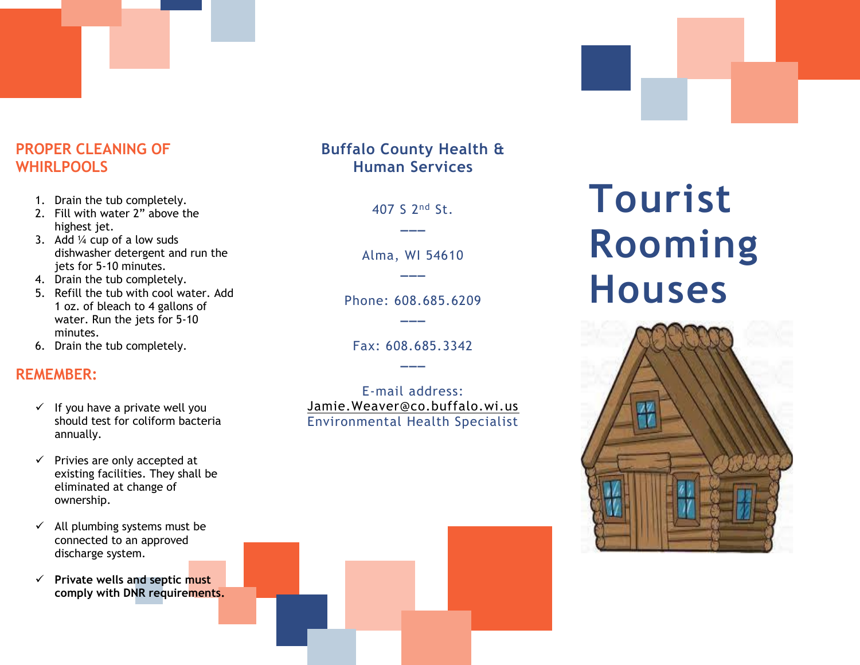# **PROPER CLEANING OF WHIRLPOOLS**

- 1. Drain the tub completely.
- 2. Fill with water 2" above the highest jet.
- 3. Add  $\frac{1}{4}$  cup of a low suds dishwasher detergent and run the jets for 5-10 minutes.
- 4. Drain the tub completely.
- 5. Refill the tub with cool water. Add 1 oz. of bleach to 4 gallons of water. Run the jets for 5-10 minutes.
- 6. Drain the tub completely.

## **REMEMBER:**

- $\checkmark$  If you have a private well you should test for coliform bacteria annually.
- $\checkmark$  Privies are only accepted at existing facilities. They shall be eliminated at change of ownership.
- $\checkmark$  All plumbing systems must be connected to an approved discharge system.
- ✓ **Private wells and septic must comply with DNR requirements.**

# **Buffalo County Health & Human Services**

407 S 2nd St. **\_\_\_**

Alma, WI 54610 **\_\_\_**

Phone: 608.685.6209 **\_\_\_**

Fax: 608.685.3342 **\_\_\_**

E-mail address: [Jamie.Weaver@co.buffalo.wi.us](mailto:Jamie.Weaver@co.buffalo.wi.us) Environmental Health Specialist

# **Tourist Rooming Houses**